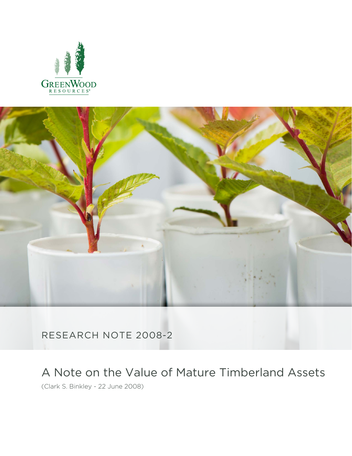



RESEARCH NOTE 2008-2

A Note on the Value of Mature Timberland Assets

(Clark S. Binkley - 22 June 2008)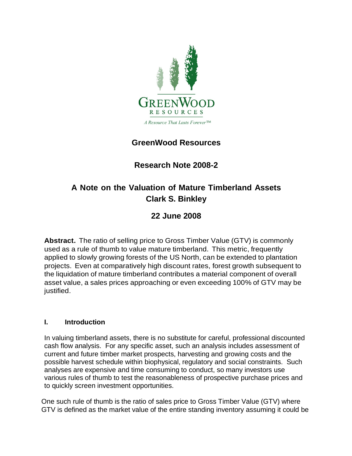

## **GreenWood Resources**

## **Research Note 2008-2**

# **A Note on the Valuation of Mature Timberland Assets Clark S. Binkley**

## **22 June 2008**

**Abstract.** The ratio of selling price to Gross Timber Value (GTV) is commonly used as a rule of thumb to value mature timberland. This metric, frequently applied to slowly growing forests of the US North, can be extended to plantation projects. Even at comparatively high discount rates, forest growth subsequent to the liquidation of mature timberland contributes a material component of overall asset value, a sales prices approaching or even exceeding 100% of GTV may be justified.

### **I. Introduction**

In valuing timberland assets, there is no substitute for careful, professional discounted cash flow analysis. For any specific asset, such an analysis includes assessment of current and future timber market prospects, harvesting and growing costs and the possible harvest schedule within biophysical, regulatory and social constraints. Such analyses are expensive and time consuming to conduct, so many investors use various rules of thumb to test the reasonableness of prospective purchase prices and to quickly screen investment opportunities.

One such rule of thumb is the ratio of sales price to Gross Timber Value (GTV) where GTV is defined as the market value of the entire standing inventory assuming it could be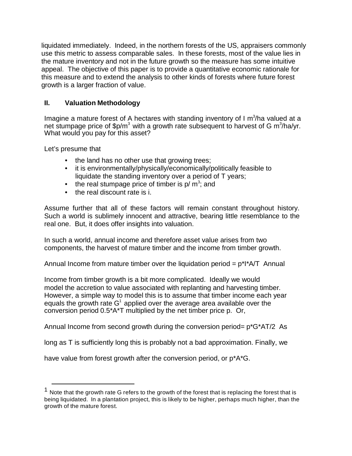liquidated immediately. Indeed, in the northern forests of the US, appraisers commonly use this metric to assess comparable sales. In these forests, most of the value lies in the mature inventory and not in the future growth so the measure has some intuitive appeal. The objective of this paper is to provide a quantitative economic rationale for this measure and to extend the analysis to other kinds of forests where future forest growth is a larger fraction of value.

### **II. Valuation Methodology**

Imagine a mature forest of A hectares with standing inventory of I  $m^3/n$ a valued at a net stumpage price of \$p/m<sup>3</sup> with a growth rate subsequent to harvest of G m<sup>3</sup>/ha/yr. What would you pay for this asset?

Let's presume that

- the land has no other use that growing trees;
- it is environmentally/physically/economically/politically feasible to liquidate the standing inventory over a period of T years;
- the real stumpage price of timber is  $p/m^3$ ; and
- the real discount rate is i.

Assume further that all of these factors will remain constant throughout history. Such a world is sublimely innocent and attractive, bearing little resemblance to the real one. But, it does offer insights into valuation.

In such a world, annual income and therefore asset value arises from two components, the harvest of mature timber and the income from timber growth.

Annual Income from mature timber over the liquidation period =  $p^*$ I $^*$ A/T Annual

Income from timber growth is a bit more complicated. Ideally we would model the accretion to value associated with replanting and harvesting timber. However, a simple way to model this is to assume that timber income each year equals the growth rate  $G^1$  applied over the average area available over the conversion period 0.5\*A\*T multiplied by the net timber price p. Or,

Annual Income from second growth during the conversion period= p\*G\*AT/2 As

long as T is sufficiently long this is probably not a bad approximation. Finally, we

have value from forest growth after the conversion period, or p\*A\*G.

 $1$  Note that the growth rate G refers to the growth of the forest that is replacing the forest that is being liquidated. In a plantation project, this is likely to be higher, perhaps much higher, than the growth of the mature forest.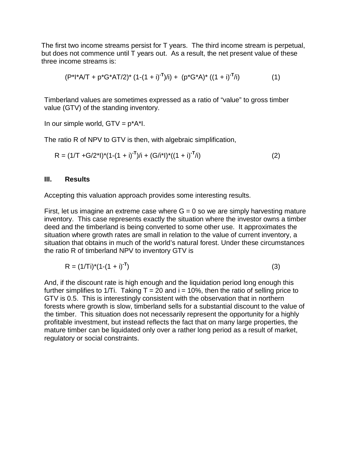The first two income streams persist for T years. The third income stream is perpetual, but does not commence until T years out. As a result, the net present value of these three income streams is:

$$
(P^*I^*A/T + p^*G^*AT/2)^* (1-(1+i)^{-T})/i) + (p^*G^*A)^* ((1+i)^{-T}/i)
$$
 (1)

Timberland values are sometimes expressed as a ratio of "value" to gross timber value (GTV) of the standing inventory.

In our simple world,  $GTV = p^*A^*I$ .

The ratio R of NPV to GTV is then, with algebraic simplification,

$$
R = (1/T + G/2*1)*(1-(1 + i)-T)/i + (G/i*1)*((1 + i)-T/i)
$$
 (2)

#### **III. Results**

Accepting this valuation approach provides some interesting results.

First, let us imagine an extreme case where  $G = 0$  so we are simply harvesting mature inventory. This case represents exactly the situation where the investor owns a timber deed and the timberland is being converted to some other use. It approximates the situation where growth rates are small in relation to the value of current inventory, a situation that obtains in much of the world's natural forest. Under these circumstances the ratio R of timberland NPV to inventory GTV is

$$
R = (1/Ti)^{*}(1-(1+i)^{-T})
$$
\n(3)

And, if the discount rate is high enough and the liquidation period long enough this further simplifies to 1/Ti. Taking  $T = 20$  and  $i = 10\%$ , then the ratio of selling price to GTV is 0.5. This is interestingly consistent with the observation that in northern forests where growth is slow, timberland sells for a substantial discount to the value of the timber. This situation does not necessarily represent the opportunity for a highly profitable investment, but instead reflects the fact that on many large properties, the mature timber can be liquidated only over a rather long period as a result of market, regulatory or social constraints.